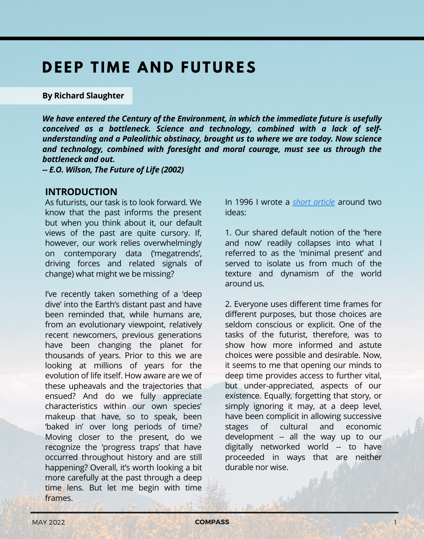# **DEEP TIME AND FUTURES**

#### **By Richard Slaughter**

*We have entered the Century of the Environment, in which the immediate future is usefully conceived as a bottleneck. Science and technology, combined with a lack of selfunderstanding and a Paleolithic obstinacy, brought us to where we are today. Now science and technology, combined with foresight and moral courage, must see us through the bottleneck and out.*

*-- E.O. Wilson, The Future of Life (2002)*

#### **INTRODUCTION**

As futurists, our task is to look forward. We know that the past informs the present but when you think about it, our default views of the past are quite cursory. If, however, our work relies overwhelmingly on contemporary data ('megatrends', driving forces and related signals of change) what might we be missing?

I've recently taken something of a 'deep dive' into the Earth's distant past and have been reminded that, while humans are, from an evolutionary viewpoint, relatively recent newcomers, previous generations have been changing the planet for thousands of years. Prior to this we are looking at millions of years for the evolution of life itself. How aware are we of these upheavals and the trajectories that ensued? And do we fully appreciate characteristics within our own species' makeup that have, so to speak, been 'baked in' over long periods of time? Moving closer to the present, do we recognize the 'progress traps' that have occurred throughout history and are still happening? Overall, it's worth looking a bit more carefully at the past through a deep time lens. But let me begin with time **frames** 

In 1996 I wrote a *short [article](https://foresightinternational.com.au/wp-content/uploads/2021/11/Slaughter_Long-term-thinking-and-the-politics-of-reconceptualization_1996.pdf)* around two ideas:

1. Our shared default notion of the 'here and now' readily collapses into what I referred to as the 'minimal present' and served to isolate us from much of the texture and dynamism of the world around us.

2. Everyone uses different time frames for different purposes, but those choices are seldom conscious or explicit. One of the tasks of the futurist, therefore, was to show how more informed and astute choices were possible and desirable. Now, it seems to me that opening our minds to deep time provides access to further vital, but under-appreciated, aspects of our existence. Equally, forgetting that story, or simply ignoring it may, at a deep level, have been complicit in allowing successive stages of cultural and economic development -- all the way up to our digitally networked world -- to have proceeded in ways that are neither durable nor wise.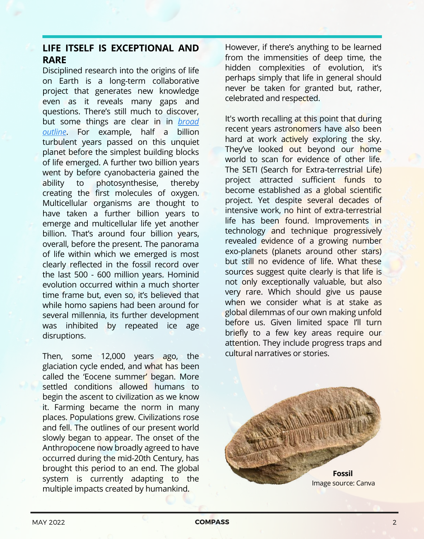## **LIFE ITSELF IS EXCEPTIONAL AND RARE**

Disciplined research into the origins of life on Earth is a long-term collaborative project that generates new knowledge even as it reveals many gaps and questions. There's still much to discover, but some things are clear in [in](https://www.newscientist.com/round-up/the-collection-life-on-earth/) *broad outline*[.](https://www.newscientist.com/round-up/the-collection-life-on-earth/) For [example,](https://www.newscientist.com/round-up/the-collection-life-on-earth/) half a billion turbulent years passed on this unquiet planet before the simplest building blocks of life emerged. A further two billion years went by before cyanobacteria gained the ability to photosynthesise, thereby creating the first molecules of oxygen. Multicellular organisms are thought to have taken a further billion years to emerge and multicellular life yet another billion. That's around four billion years, overall, before the present. The panorama of life within which we emerged is most clearly reflected in the fossil record over the last 500 - 600 million years. Hominid evolution occurred within a much shorter time frame but, even so, it's believed that while homo sapiens had been around for several millennia, its further development was inhibited by repeated ice age disruptions.

Then, some 12,000 years ago, the glaciation cycle ended, and what has been called the 'Eocene summer' began. More settled conditions allowed humans to begin the ascent to civilization as we know it. Farming became the norm in many places. Populations grew. Civilizations rose and fell. The outlines of our present world slowly began to appear. The onset of the Anthropocene now broadly agreed to have occurred during the mid-20th Century, has brought this period to an end. The global system is currently adapting to the multiple impacts created by humankind.

However, if there's anything to be learned from the immensities of deep time, the hidden complexities of evolution, it's perhaps simply that life in general should never be taken for granted but, rather, celebrated and respected.

It's worth recalling at this point that during recent years astronomers have also been hard at work actively exploring the sky. They've looked out beyond our home world to scan for evidence of other life. The SETI (Search for Extra-terrestrial Life) project attracted sufficient funds to become established as a global scientific project. Yet despite several decades of intensive work, no hint of extra-terrestrial life has been found. Improvements in technology and technique progressively revealed evidence of a growing number exo-planets (planets around other stars) but still no evidence of life. What these sources suggest quite clearly is that life is not only exceptionally valuable, but also very rare. Which should give us pause when we consider what is at stake as global dilemmas of our own making unfold before us. Given limited space I'll turn briefly to a few key areas require our attention. They include progress traps and cultural narratives or stories.

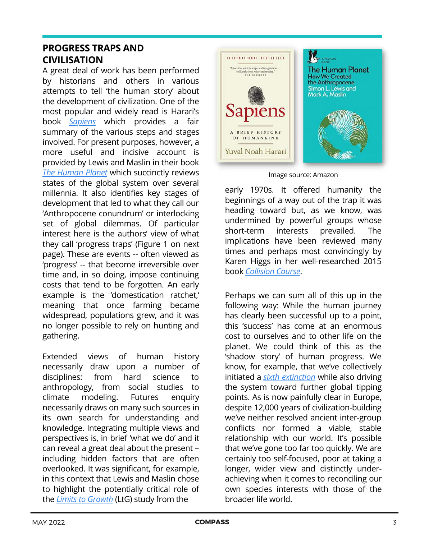## **PROGRESS TRAPS AND CIVILISATION**

A great deal of work has been performed by historians and others in various attempts to tell 'the human story' about the development of civilization. One of the most popular and widely read is Harari's book *[Sapiens](https://www.theguardian.com/books/2014/sep/21/sapiens-brief-history-mankind-review-yuval-noah-harari)* which provides a fair summary of the various steps and stages involved. For present purposes, however, a more useful and incisive account is provided by Lewis and Maslin in their book *The [Human](https://www.penguin.com.au/books/the-human-planet-9780241280881) Planet* which succinctly reviews states of the global system over several millennia. It also identifies key stages of development that led to what they call our 'Anthropocene conundrum' or interlocking set of global dilemmas. Of particular interest here is the authors' view of what they call 'progress traps' (Figure 1 on next page). These are events -- often viewed as 'progress' -- that become irreversible over time and, in so doing, impose continuing costs that tend to be forgotten. An early example is the 'domestication ratchet,' meaning that once farming became widespread, populations grew, and it was no longer possible to rely on hunting and gathering.

Extended views of human history necessarily draw upon a number of disciplines: from hard science to anthropology, from social studies to climate modeling. Futures enquiry necessarily draws on many such sources in its own search for understanding and knowledge. Integrating multiple views and perspectives is, in brief 'what we do' and it can reveal a great deal about the present – including hidden factors that are often overlooked. It was significant, for example, in this context that Lewis and Maslin chose to highlight the potentially critical role of the *Limits to [Growth](https://en.wikipedia.org/wiki/The_Limits_to_Growth)* (LtG) study from the



Image source: Amazon

early 1970s. It offered humanity the beginnings of a way out of the trap it was heading toward but, as we know, was undermined by powerful groups whose short-term interests prevailed. The implications have been reviewed many times and perhaps most convincingly by Karen Higgs in her well-researched 2015 book *[Collision](https://foresightinternational.com.au/?review=higgs-k-collision-course-endless-growth-on-a-finite-planet) Course*.

Perhaps we can sum all of this up in the following way: While the human journey has clearly been successful up to a point, this 'success' has come at an enormous cost to ourselves and to other life on the planet. We could think of this as the 'shadow story' of human progress. We know, for example, that we've collectively initiated a *sixth [extinction](https://en.wikipedia.org/wiki/The_Sixth_Extinction:_An_Unnatural_History)* while also driving the system toward further global tipping points. As is now painfully clear in Europe, despite 12,000 years of civilization-building we've neither resolved ancient inter-group conflicts nor formed a viable, stable relationship with our world. It's possible that we've gone too far too quickly. We are certainly too self-focused, poor at taking a longer, wider view and distinctly underachieving when it comes to reconciling our own species interests with those of the broader life world.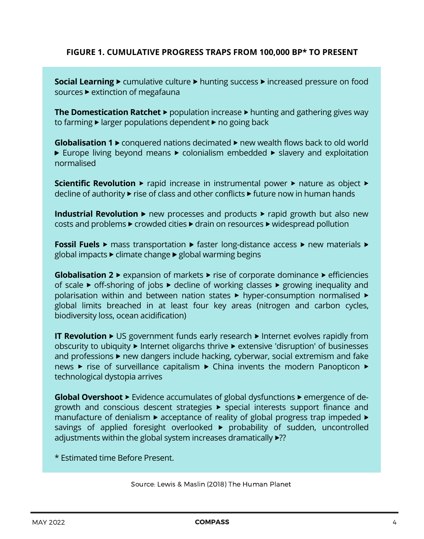#### **FIGURE 1. CUMULATIVE PROGRESS TRAPS FROM 100,000 BP\* TO PRESENT**

**Social Learning >** cumulative culture **>** hunting success **>** increased pressure on food sources **>** extinction of megafauna

**The Domestication Ratchet** ► population increase ► hunting and gathering gives way to farming ► larger populations dependent ► no going back

**Globalisation 1** > conquered nations decimated > new wealth flows back to old world ► Europe living beyond means ► colonialism embedded ► slavery and exploitation normalised

**Scientific Revolution** ► rapid increase in instrumental power ► nature as object ► decline of authority > rise of class and other conflicts > future now in human hands

**Industrial Revolution** ► new processes and products ► rapid growth but also new costs and problems > crowded cities > drain on resources > widespread pollution

**Fossil Fuels** > mass transportation > faster long-distance access > new materials > global impacts > climate change > global warming begins

**Globalisation 2** ▶ expansion of markets ▶ rise of corporate dominance ▶ efficiencies of scale > off-shoring of jobs > decline of working classes > growing inequality and polarisation within and between nation states > hyper-consumption normalised > global limits breached in at least four key areas (nitrogen and carbon cycles, biodiversity loss, ocean acidification)

**IT Revolution** ▶ US government funds early research ▶ Internet evolves rapidly from obscurity to ubiquity > Internet oligarchs thrive > extensive 'disruption' of businesses and professions  $\blacktriangleright$  new dangers include hacking, cyberwar, social extremism and fake news > rise of surveillance capitalism > China invents the modern Panopticon > technological dystopia arrives

**Global Overshoot** > Evidence accumulates of global dysfunctions > emergence of degrowth and conscious descent strategies > special interests support finance and manufacture of denialism  $\blacktriangleright$  acceptance of reality of global progress trap impeded  $\blacktriangleright$ savings of applied foresight overlooked > probability of sudden, uncontrolled adjustments within the global system increases dramatically >??

\* Estimated time Before Present.

Source: Lewis & Maslin (2018) The Human Planet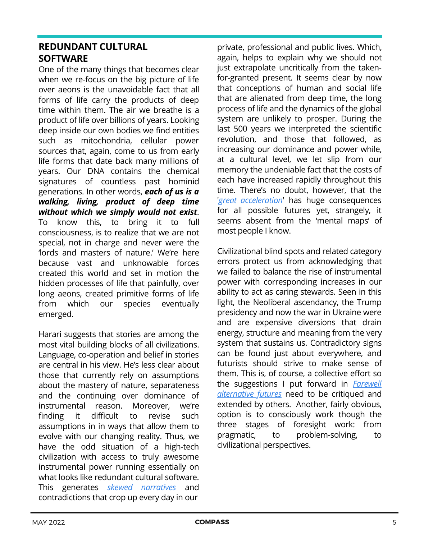## **REDUNDANT CULTURAL SOFTWARE**

One of the many things that becomes clear when we re-focus on the big picture of life over aeons is the unavoidable fact that all forms of life carry the products of deep time within them. The air we breathe is a product of life over billions of years. Looking deep inside our own bodies we find entities such as mitochondria, cellular power sources that, again, come to us from early life forms that date back many millions of years. Our DNA contains the chemical signatures of countless past hominid generations. In other words, *each of us is a walking, living, product of deep time without which we simply would not exist*. To know this, to bring it to full consciousness, is to realize that we are not special, not in charge and never were the 'lords and masters of nature.' We're here because vast and unknowable forces created this world and set in motion the hidden processes of life that painfully, over long aeons, created primitive forms of life from which our species eventually emerged.

Harari suggests that stories are among the most vital building blocks of all civilizations. Language, co-operation and belief in stories are central in his view. He's less clear about those that currently rely on assumptions about the mastery of nature, separateness and the continuing over dominance of instrumental reason. Moreover, we're finding it difficult to revise such assumptions in in ways that allow them to evolve with our changing reality. Thus, we have the odd situation of a high-tech civilization with access to truly awesome instrumental power running essentially on what looks like redundant cultural software. This generates *skewed [narratives](https://www.futurepod.org/podcast/ep-113)* and contradictions that crop up every day in our

private, professional and public lives. Which, again, helps to explain why we should not just extrapolate uncritically from the takenfor-granted present. It seems clear by now that conceptions of human and social life that are alienated from deep time, the long process of life and the dynamics of the global system are unlikely to prosper. During the last 500 years we interpreted the scientific revolution, and those that followed, as increasing our dominance and power while, at a cultural level, we let slip from our memory the undeniable fact that the costs of each have increased rapidly throughout this time. There's no doubt, however, that the ['](https://openresearch-repository.anu.edu.au/bitstream/1885/66463/8/01_Steffen_GREAT%20ACCELERATION_2015.pdf)*great [acceleration](https://openresearch-repository.anu.edu.au/bitstream/1885/66463/8/01_Steffen_GREAT%20ACCELERATION_2015.pdf)*' has huge consequences for all possible futures yet, strangely, it seems absent from the 'mental maps' of most people I know.

Civilizational blind spots and related category errors protect us from acknowledging that we failed to balance the rise of instrumental power with corresponding increases in our ability to act as caring stewards. Seen in this light, the Neoliberal ascendancy, the Trump presidency and now the war in Ukraine were and are expensive diversions that drain energy, structure and meaning from the very system that sustains us. Contradictory signs can be found just about everywhere, and futurists should strive to make sense of them. This is, of course, a collective effort so the [suggestions](https://foresightinternational.com.au/wp-content/uploads/2020/07/Slaughter-Farewell-Alt-Futs-2020-Final.pdf) I put forward in *Farewell alternative futures* need to be critiqued and extended by others. Another, fairly obvious, option is to consciously work though the three stages of foresight work: from pragmatic, to problem-solving, to civilizational perspectives.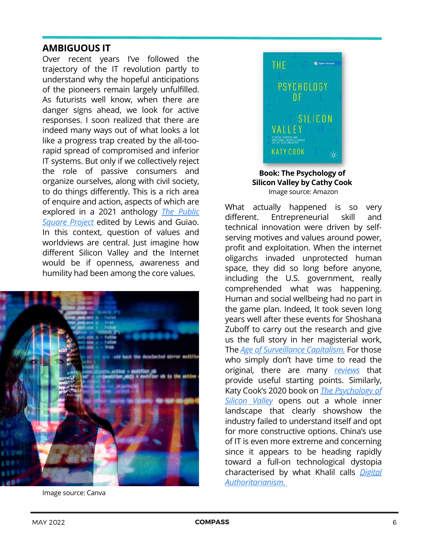## **AMBIGUOUS IT**

Over recent years I've followed the trajectory of the IT revolution partly to understand why the hopeful anticipations of the pioneers remain largely unfulfilled. As futurists well know, when there are danger signs ahead, we look for active responses. I soon realized that there are indeed many ways out of what looks a lot like a progress trap created by the all-toorapid spread of compromised and inferior IT systems. But only if we collectively reject the role of passive consumers and organize ourselves, along with civil society, to do things differently. This is a rich area of enquire and action, aspects of which are explored in a 2021 [anthology](https://www.mup.com.au/booxks/the-public-square-project-paperback-softback) *The Public Square Project* edited by Lewis and Guiao. In this context, question of values and worldviews are central. Just imagine how different Silicon Valley and the Internet would be if openness, awareness and humility had been among the core values.



Image source: Canva



Image source: Amazon **Book: The Psychology of Silicon Valley by Cathy Cook**

What actually happened is so very different. Entrepreneurial skill and technical innovation were driven by selfserving motives and values around power, profit and exploitation. When the internet oligarchs invaded unprotected human space, they did so long before anyone, including the U.S. government, really comprehended what was happening. Human and social wellbeing had no part in the game plan. Indeed, It took seven long years well after these events for Shoshana Zuboff to carry out the research and give us the full story in her magisterial work, [The](https://www.theguardian.com/books/2019/oct/04/shoshana-zuboff-surveillance-capitalism-assault-human-automomy-digital-privacy) *Age of [Surveillance](https://www.theguardian.com/books/2019/oct/04/shoshana-zuboff-surveillance-capitalism-assault-human-automomy-digital-privacy) Capitalism.* For those who simply don't have time to read the original, there are many *[reviews](https://foresightinternational.com.au/wp-content/uploads/2020/07/Slaughter_Confronting_High_Tech_Nightmare_JFS_24_4_2020.pdf)* that provide useful starting points. Similarly, Katy Cook's 2020 book on *The [Psychology](https://link.springer.com/book/10.1007/978-3-030-27364-4) of Silicon Valley* opens out a whole inner landscape that clearly showshow the industry failed to understand itself and opt for more constructive options. China's use of IT is even more extreme and concerning since it appears to be heading rapidly toward a full-on technological dystopia characterised b[y](https://www.lowyinstitute.org/publications/digital-authoritarianism-china-and-covid) what Khalil calls *Digital [Authoritarianism.](https://www.lowyinstitute.org/publications/digital-authoritarianism-china-and-covid)*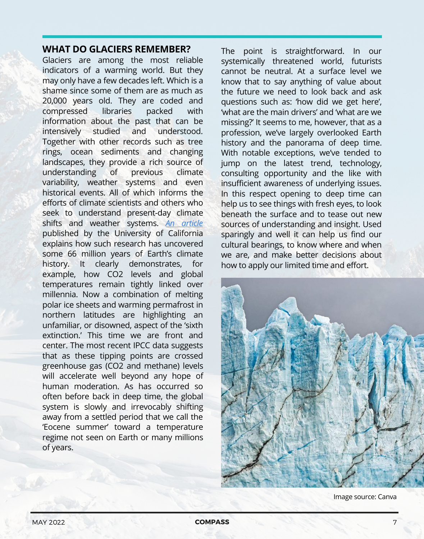### **WHAT DO GLACIERS REMEMBER?**

Glaciers are among the most reliable indicators of a warming world. But they may only have a few decades left. Which is a shame since some of them are as much as 20,000 years old. They are coded and compressed libraries packed with information about the past that can be intensively studied and understood. Together with other records such as tree rings, ocean sediments and changing landscapes, they provide a rich source of understanding of previous climate variability, weather systems and even historical events. All of which informs the efforts of climate scientists and others who seek to understand present-day climate shifts and weather systems. *An [article](https://scitechdaily.com/66-million-years-of-earths-climate-history-uncovered-puts-current-changes-in-context/)* published by the University of California explains how such research has uncovered some 66 million years of Earth's climate history. It clearly demonstrates, for example, how CO2 levels and global temperatures remain tightly linked over millennia. Now a combination of melting polar ice sheets and warming permafrost in northern latitudes are highlighting an unfamiliar, or disowned, aspect of the 'sixth extinction.' This time we are front and center. The most recent IPCC data suggests that as these tipping points are crossed greenhouse gas (CO2 and methane) levels will accelerate well beyond any hope of human moderation. As has occurred so often before back in deep time, the global system is slowly and irrevocably shifting away from a settled period that we call the 'Eocene summer' toward a temperature regime not seen on Earth or many millions of years.

The point is straightforward. In our systemically threatened world, futurists cannot be neutral. At a surface level we know that to say anything of value about the future we need to look back and ask questions such as: 'how did we get here', 'what are the main drivers' and 'what are we missing?' It seems to me, however, that as a profession, we've largely overlooked Earth history and the panorama of deep time. With notable exceptions, we've tended to jump on the latest trend, technology, consulting opportunity and the like with insufficient awareness of underlying issues. In this respect opening to deep time can help us to see things with fresh eyes, to look beneath the surface and to tease out new sources of understanding and insight. Used sparingly and well it can help us find our cultural bearings, to know where and when we are, and make better decisions about how to apply our limited time and effort.



Image source: Canva

MAY 2022 **COMPASS** 7